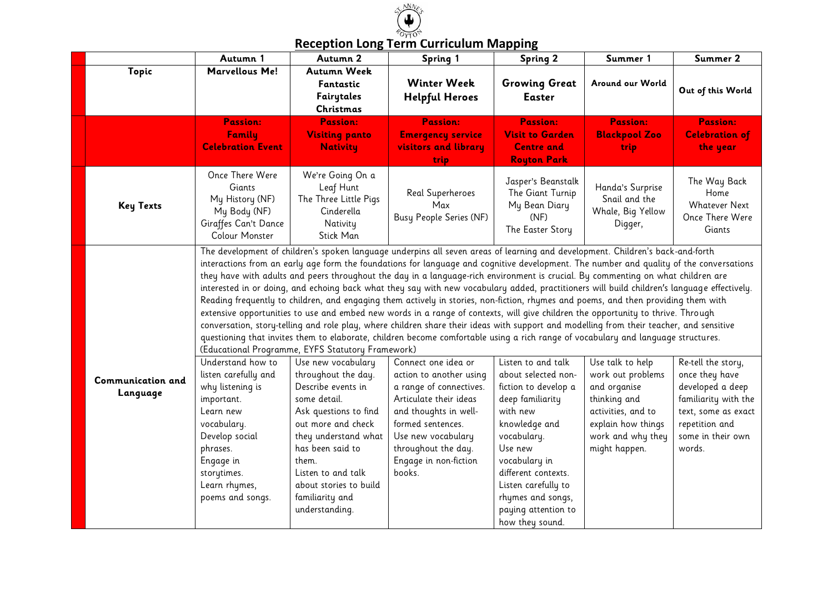

| <b>Reception Long Term Curriculum Mapping</b> |
|-----------------------------------------------|
|-----------------------------------------------|

|                               | Autumn 1                                                                                                                                                                                                                                                                                                                                                                                                                                                                                                                                                                                                                                                                                                                                                                                                                                                                                                                                                                                                                                                                                                                                                                     | Autumn 2                                                                                                                                                                                                                                                                 | Spring 1                                                                                                                                                                                                                          | <b>Spring 2</b>                                                                                                                                                                                                                                                            | Summer 1                                                                                                                                                | Summer 2                                                                                                                                                 |
|-------------------------------|------------------------------------------------------------------------------------------------------------------------------------------------------------------------------------------------------------------------------------------------------------------------------------------------------------------------------------------------------------------------------------------------------------------------------------------------------------------------------------------------------------------------------------------------------------------------------------------------------------------------------------------------------------------------------------------------------------------------------------------------------------------------------------------------------------------------------------------------------------------------------------------------------------------------------------------------------------------------------------------------------------------------------------------------------------------------------------------------------------------------------------------------------------------------------|--------------------------------------------------------------------------------------------------------------------------------------------------------------------------------------------------------------------------------------------------------------------------|-----------------------------------------------------------------------------------------------------------------------------------------------------------------------------------------------------------------------------------|----------------------------------------------------------------------------------------------------------------------------------------------------------------------------------------------------------------------------------------------------------------------------|---------------------------------------------------------------------------------------------------------------------------------------------------------|----------------------------------------------------------------------------------------------------------------------------------------------------------|
| Topic                         | <b>Marvellous Me!</b>                                                                                                                                                                                                                                                                                                                                                                                                                                                                                                                                                                                                                                                                                                                                                                                                                                                                                                                                                                                                                                                                                                                                                        | Autumn Week<br>Fantastic<br>Fairytales<br>Christmas                                                                                                                                                                                                                      | <b>Winter Week</b><br><b>Helpful Heroes</b>                                                                                                                                                                                       | <b>Growing Great</b><br><b>Easter</b>                                                                                                                                                                                                                                      | Around our World                                                                                                                                        | Out of this World                                                                                                                                        |
|                               | <b>Passion:</b><br>Family                                                                                                                                                                                                                                                                                                                                                                                                                                                                                                                                                                                                                                                                                                                                                                                                                                                                                                                                                                                                                                                                                                                                                    | Passion:<br><b>Visiting panto</b>                                                                                                                                                                                                                                        | <b>Passion:</b><br><b>Emergency service</b>                                                                                                                                                                                       | <b>Passion:</b><br><b>Visit to Garden</b>                                                                                                                                                                                                                                  | <b>Passion:</b><br><b>Blackpool Zoo</b>                                                                                                                 | <b>Passion:</b><br><b>Celebration of</b>                                                                                                                 |
|                               | <b>Celebration Event</b>                                                                                                                                                                                                                                                                                                                                                                                                                                                                                                                                                                                                                                                                                                                                                                                                                                                                                                                                                                                                                                                                                                                                                     | <b>Nativity</b>                                                                                                                                                                                                                                                          | <b>visitors and library</b><br>trip                                                                                                                                                                                               | <b>Centre and</b><br><b>Royton Park</b>                                                                                                                                                                                                                                    | trip                                                                                                                                                    | the year                                                                                                                                                 |
| <b>Key Texts</b>              | Once There Were<br>Giants<br>My History (NF)<br>My Body (NF)<br>Giraffes Can't Dance<br><b>Colour Monster</b>                                                                                                                                                                                                                                                                                                                                                                                                                                                                                                                                                                                                                                                                                                                                                                                                                                                                                                                                                                                                                                                                | We're Going On a<br>Leaf Hunt<br>The Three Little Pigs<br>Cinderella<br>Nativity<br>Stick Man                                                                                                                                                                            | Real Superheroes<br>Max<br>Busy People Series (NF)                                                                                                                                                                                | Jasper's Beanstalk<br>The Giant Turnip<br>My Bean Diary<br>(NF)<br>The Easter Story                                                                                                                                                                                        | Handa's Surprise<br>Snail and the<br>Whale, Big Yellow<br>Digger,                                                                                       | The Way Back<br>Home<br><b>Whatever Next</b><br>Once There Were<br>Giants                                                                                |
|                               | The development of children's spoken language underpins all seven areas of learning and development. Children's back-and-forth<br>interactions from an early age form the foundations for language and cognitive development. The number and quality of the conversations<br>they have with adults and peers throughout the day in a language-rich environment is crucial. By commenting on what children are<br>interested in or doing, and echoing back what they say with new vocabulary added, practitioners will build children's language effectively.<br>Reading frequently to children, and engaging them actively in stories, non-fiction, rhymes and poems, and then providing them with<br>extensive opportunities to use and embed new words in a range of contexts, will give children the opportunity to thrive. Through<br>conversation, story-telling and role play, where children share their ideas with support and modelling from their teacher, and sensitive<br>questioning that invites them to elaborate, children become comfortable using a rich range of vocabulary and language structures.<br>(Educational Programme, EYFS Statutory Framework) |                                                                                                                                                                                                                                                                          |                                                                                                                                                                                                                                   |                                                                                                                                                                                                                                                                            |                                                                                                                                                         |                                                                                                                                                          |
| Communication and<br>Language | Understand how to<br>listen carefully and<br>why listening is<br>important.<br>Learn new<br>vocabulary.<br>Develop social<br>phrases.<br>Engage in<br>storytimes.<br>Learn rhymes,<br>poems and songs.                                                                                                                                                                                                                                                                                                                                                                                                                                                                                                                                                                                                                                                                                                                                                                                                                                                                                                                                                                       | Use new vocabulary<br>throughout the day.<br>Describe events in<br>some detail.<br>Ask questions to find<br>out more and check<br>they understand what<br>has been said to<br>them.<br>Listen to and talk<br>about stories to build<br>familiarity and<br>understanding. | Connect one idea or<br>action to another using<br>a range of connectives.<br>Articulate their ideas<br>and thoughts in well-<br>formed sentences.<br>Use new vocabulary<br>throughout the day.<br>Engage in non-fiction<br>books. | Listen to and talk<br>about selected non-<br>fiction to develop a<br>deep familiarity<br>with new<br>knowledge and<br>vocabulary.<br>Use new<br>vocabulary in<br>different contexts.<br>Listen carefully to<br>rhymes and songs,<br>paying attention to<br>how they sound. | Use talk to help<br>work out problems<br>and organise<br>thinking and<br>activities, and to<br>explain how things<br>work and why they<br>might happen. | Re-tell the story,<br>once they have<br>developed a deep<br>familiarity with the<br>text, some as exact<br>repetition and<br>some in their own<br>words. |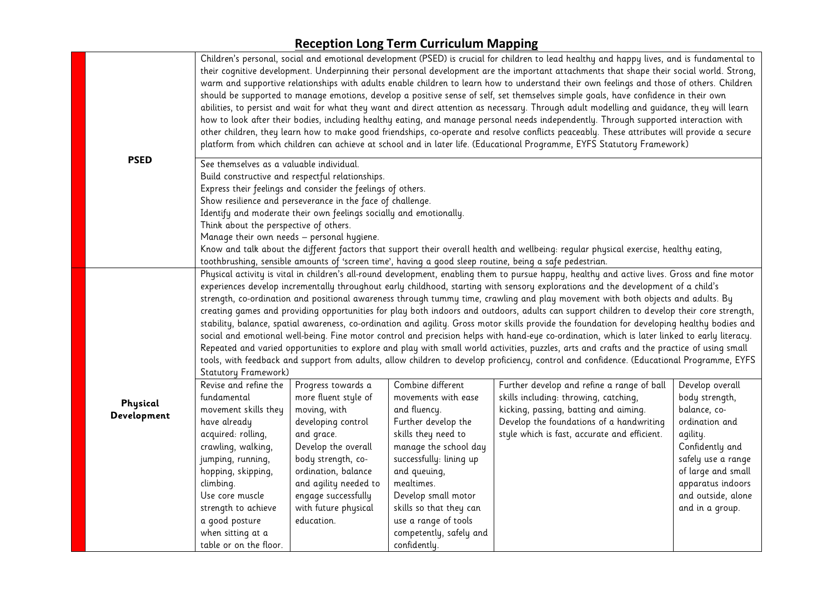|             |                                                                                                                                                                                                                                                          |                                                             |                            | Children's personal, social and emotional development (PSED) is crucial for children to lead healthy and happy lives, and is fundamental to<br>their cognitive development. Underpinning their personal development are the important attachments that shape their social world. Strong,<br>warm and supportive relationships with adults enable children to learn how to understand their own feelings and those of others. Children<br>should be supported to manage emotions, develop a positive sense of self, set themselves simple goals, have confidence in their own<br>abilities, to persist and wait for what they want and direct attention as necessary. Through adult modelling and guidance, they will learn<br>how to look after their bodies, including healthy eating, and manage personal needs independently. Through supported interaction with<br>other children, they learn how to make good friendships, co-operate and resolve conflicts peaceably. These attributes will provide a secure<br>platform from which children can achieve at school and in later life. (Educational Programme, EYFS Statutory Framework) |                                         |  |  |
|-------------|----------------------------------------------------------------------------------------------------------------------------------------------------------------------------------------------------------------------------------------------------------|-------------------------------------------------------------|----------------------------|-----------------------------------------------------------------------------------------------------------------------------------------------------------------------------------------------------------------------------------------------------------------------------------------------------------------------------------------------------------------------------------------------------------------------------------------------------------------------------------------------------------------------------------------------------------------------------------------------------------------------------------------------------------------------------------------------------------------------------------------------------------------------------------------------------------------------------------------------------------------------------------------------------------------------------------------------------------------------------------------------------------------------------------------------------------------------------------------------------------------------------------------------|-----------------------------------------|--|--|
| <b>PSED</b> | See themselves as a valuable individual.                                                                                                                                                                                                                 |                                                             |                            |                                                                                                                                                                                                                                                                                                                                                                                                                                                                                                                                                                                                                                                                                                                                                                                                                                                                                                                                                                                                                                                                                                                                               |                                         |  |  |
|             | Build constructive and respectful relationships.                                                                                                                                                                                                         |                                                             |                            |                                                                                                                                                                                                                                                                                                                                                                                                                                                                                                                                                                                                                                                                                                                                                                                                                                                                                                                                                                                                                                                                                                                                               |                                         |  |  |
|             |                                                                                                                                                                                                                                                          | Express their feelings and consider the feelings of others. |                            |                                                                                                                                                                                                                                                                                                                                                                                                                                                                                                                                                                                                                                                                                                                                                                                                                                                                                                                                                                                                                                                                                                                                               |                                         |  |  |
|             |                                                                                                                                                                                                                                                          | Show resilience and perseverance in the face of challenge.  |                            |                                                                                                                                                                                                                                                                                                                                                                                                                                                                                                                                                                                                                                                                                                                                                                                                                                                                                                                                                                                                                                                                                                                                               |                                         |  |  |
|             | Identify and moderate their own feelings socially and emotionally.                                                                                                                                                                                       |                                                             |                            |                                                                                                                                                                                                                                                                                                                                                                                                                                                                                                                                                                                                                                                                                                                                                                                                                                                                                                                                                                                                                                                                                                                                               |                                         |  |  |
|             | Think about the perspective of others.                                                                                                                                                                                                                   |                                                             |                            |                                                                                                                                                                                                                                                                                                                                                                                                                                                                                                                                                                                                                                                                                                                                                                                                                                                                                                                                                                                                                                                                                                                                               |                                         |  |  |
|             | Manage their own needs - personal hygiene.                                                                                                                                                                                                               |                                                             |                            |                                                                                                                                                                                                                                                                                                                                                                                                                                                                                                                                                                                                                                                                                                                                                                                                                                                                                                                                                                                                                                                                                                                                               |                                         |  |  |
|             | Know and talk about the different factors that support their overall health and wellbeing: regular physical exercise, healthy eating,                                                                                                                    |                                                             |                            |                                                                                                                                                                                                                                                                                                                                                                                                                                                                                                                                                                                                                                                                                                                                                                                                                                                                                                                                                                                                                                                                                                                                               |                                         |  |  |
|             | toothbrushing, sensible amounts of 'screen time', having a good sleep routine, being a safe pedestrian.<br>Physical activity is vital in children's all-round development, enabling them to pursue happy, healthy and active lives. Gross and fine motor |                                                             |                            |                                                                                                                                                                                                                                                                                                                                                                                                                                                                                                                                                                                                                                                                                                                                                                                                                                                                                                                                                                                                                                                                                                                                               |                                         |  |  |
|             | experiences develop incrementally throughout early childhood, starting with sensory explorations and the development of a child's                                                                                                                        |                                                             |                            |                                                                                                                                                                                                                                                                                                                                                                                                                                                                                                                                                                                                                                                                                                                                                                                                                                                                                                                                                                                                                                                                                                                                               |                                         |  |  |
|             | strength, co-ordination and positional awareness through tummy time, crawling and play movement with both objects and adults. By                                                                                                                         |                                                             |                            |                                                                                                                                                                                                                                                                                                                                                                                                                                                                                                                                                                                                                                                                                                                                                                                                                                                                                                                                                                                                                                                                                                                                               |                                         |  |  |
|             | creating games and providing opportunities for play both indoors and outdoors, adults can support children to develop their core strength,                                                                                                               |                                                             |                            |                                                                                                                                                                                                                                                                                                                                                                                                                                                                                                                                                                                                                                                                                                                                                                                                                                                                                                                                                                                                                                                                                                                                               |                                         |  |  |
|             | stability, balance, spatial awareness, co-ordination and agility. Gross motor skills provide the foundation for developing healthy bodies and                                                                                                            |                                                             |                            |                                                                                                                                                                                                                                                                                                                                                                                                                                                                                                                                                                                                                                                                                                                                                                                                                                                                                                                                                                                                                                                                                                                                               |                                         |  |  |
|             | social and emotional well-being. Fine motor control and precision helps with hand-eye co-ordination, which is later linked to early literacy.                                                                                                            |                                                             |                            |                                                                                                                                                                                                                                                                                                                                                                                                                                                                                                                                                                                                                                                                                                                                                                                                                                                                                                                                                                                                                                                                                                                                               |                                         |  |  |
|             | Repeated and varied opportunities to explore and play with small world activities, puzzles, arts and crafts and the practice of using small                                                                                                              |                                                             |                            |                                                                                                                                                                                                                                                                                                                                                                                                                                                                                                                                                                                                                                                                                                                                                                                                                                                                                                                                                                                                                                                                                                                                               |                                         |  |  |
|             | tools, with feedback and support from adults, allow children to develop proficiency, control and confidence. (Educational Programme, EYFS                                                                                                                |                                                             |                            |                                                                                                                                                                                                                                                                                                                                                                                                                                                                                                                                                                                                                                                                                                                                                                                                                                                                                                                                                                                                                                                                                                                                               |                                         |  |  |
|             | Statutory Framework)                                                                                                                                                                                                                                     |                                                             |                            |                                                                                                                                                                                                                                                                                                                                                                                                                                                                                                                                                                                                                                                                                                                                                                                                                                                                                                                                                                                                                                                                                                                                               |                                         |  |  |
|             | Revise and refine the                                                                                                                                                                                                                                    | Progress towards a                                          | Combine different          | Further develop and refine a range of ball                                                                                                                                                                                                                                                                                                                                                                                                                                                                                                                                                                                                                                                                                                                                                                                                                                                                                                                                                                                                                                                                                                    | Develop overall                         |  |  |
| Physical    | fundamental                                                                                                                                                                                                                                              | more fluent style of                                        | movements with ease        | skills including: throwing, catching,                                                                                                                                                                                                                                                                                                                                                                                                                                                                                                                                                                                                                                                                                                                                                                                                                                                                                                                                                                                                                                                                                                         | body strength,                          |  |  |
| Development | movement skills they                                                                                                                                                                                                                                     | moving, with                                                | and fluency.               | kicking, passing, batting and aiming.                                                                                                                                                                                                                                                                                                                                                                                                                                                                                                                                                                                                                                                                                                                                                                                                                                                                                                                                                                                                                                                                                                         | balance, co-                            |  |  |
|             | have already                                                                                                                                                                                                                                             | developing control                                          | Further develop the        | Develop the foundations of a handwriting                                                                                                                                                                                                                                                                                                                                                                                                                                                                                                                                                                                                                                                                                                                                                                                                                                                                                                                                                                                                                                                                                                      | ordination and                          |  |  |
|             | acquired: rolling,                                                                                                                                                                                                                                       | and grace.                                                  | skills they need to        | style which is fast, accurate and efficient.                                                                                                                                                                                                                                                                                                                                                                                                                                                                                                                                                                                                                                                                                                                                                                                                                                                                                                                                                                                                                                                                                                  | agility.                                |  |  |
|             | crawling, walking,                                                                                                                                                                                                                                       | Develop the overall                                         | manage the school day      |                                                                                                                                                                                                                                                                                                                                                                                                                                                                                                                                                                                                                                                                                                                                                                                                                                                                                                                                                                                                                                                                                                                                               | Confidently and                         |  |  |
|             | jumping, running,                                                                                                                                                                                                                                        | body strength, co-<br>ordination, balance                   | successfully: lining up    |                                                                                                                                                                                                                                                                                                                                                                                                                                                                                                                                                                                                                                                                                                                                                                                                                                                                                                                                                                                                                                                                                                                                               | safely use a range                      |  |  |
|             | hopping, skipping,<br>climbing.                                                                                                                                                                                                                          | and agility needed to                                       | and queuing,<br>mealtimes. |                                                                                                                                                                                                                                                                                                                                                                                                                                                                                                                                                                                                                                                                                                                                                                                                                                                                                                                                                                                                                                                                                                                                               | of large and small<br>apparatus indoors |  |  |
|             | Use core muscle                                                                                                                                                                                                                                          | engage successfully                                         | Develop small motor        |                                                                                                                                                                                                                                                                                                                                                                                                                                                                                                                                                                                                                                                                                                                                                                                                                                                                                                                                                                                                                                                                                                                                               | and outside, alone                      |  |  |
|             | strength to achieve                                                                                                                                                                                                                                      | with future physical                                        | skills so that they can    |                                                                                                                                                                                                                                                                                                                                                                                                                                                                                                                                                                                                                                                                                                                                                                                                                                                                                                                                                                                                                                                                                                                                               | and in a group.                         |  |  |
|             | a good posture                                                                                                                                                                                                                                           | education.                                                  | use a range of tools       |                                                                                                                                                                                                                                                                                                                                                                                                                                                                                                                                                                                                                                                                                                                                                                                                                                                                                                                                                                                                                                                                                                                                               |                                         |  |  |
|             | when sitting at a                                                                                                                                                                                                                                        |                                                             | competently, safely and    |                                                                                                                                                                                                                                                                                                                                                                                                                                                                                                                                                                                                                                                                                                                                                                                                                                                                                                                                                                                                                                                                                                                                               |                                         |  |  |
|             | table or on the floor.                                                                                                                                                                                                                                   |                                                             | confidently.               |                                                                                                                                                                                                                                                                                                                                                                                                                                                                                                                                                                                                                                                                                                                                                                                                                                                                                                                                                                                                                                                                                                                                               |                                         |  |  |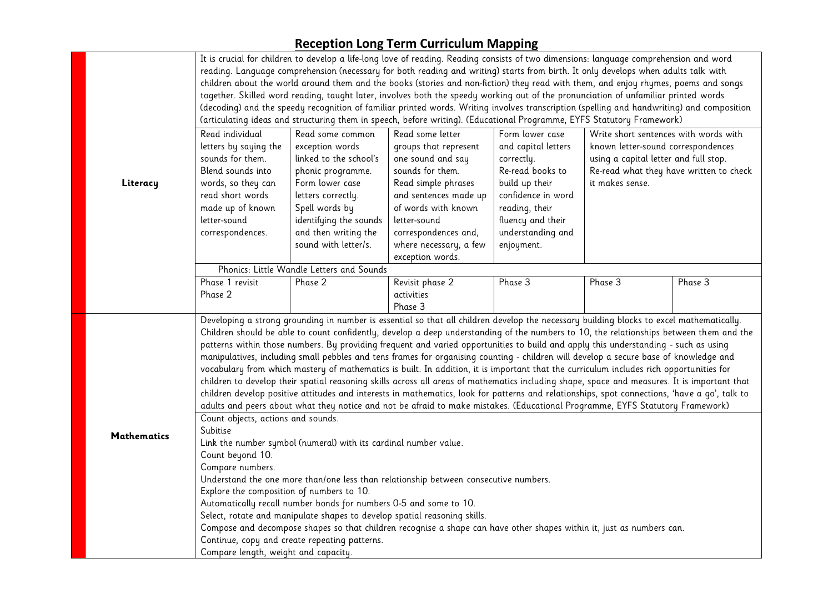|                    | It is crucial for children to develop a life-long love of reading. Reading consists of two dimensions: language comprehension and word<br>reading. Language comprehension (necessary for both reading and writing) starts from birth. It only develops when adults talk with<br>children about the world around them and the books (stories and non-fiction) they read with them, and enjoy rhymes, poems and songs<br>together. Skilled word reading, taught later, involves both the speedy working out of the pronunciation of unfamiliar printed words<br>(decoding) and the speedy recognition of familiar printed words. Writing involves transcription (spelling and handwriting) and composition<br>(articulating ideas and structuring them in speech, before writing). (Educational Programme, EYFS Statutory Framework)                                                                                                                                                                                                                                                                                                               |                                                                                                                                                                                                                         |                                                                                                                                                                                                                             |                                                                                                                                                                                            |                                                                                                                                                                                    |         |  |  |  |
|--------------------|--------------------------------------------------------------------------------------------------------------------------------------------------------------------------------------------------------------------------------------------------------------------------------------------------------------------------------------------------------------------------------------------------------------------------------------------------------------------------------------------------------------------------------------------------------------------------------------------------------------------------------------------------------------------------------------------------------------------------------------------------------------------------------------------------------------------------------------------------------------------------------------------------------------------------------------------------------------------------------------------------------------------------------------------------------------------------------------------------------------------------------------------------|-------------------------------------------------------------------------------------------------------------------------------------------------------------------------------------------------------------------------|-----------------------------------------------------------------------------------------------------------------------------------------------------------------------------------------------------------------------------|--------------------------------------------------------------------------------------------------------------------------------------------------------------------------------------------|------------------------------------------------------------------------------------------------------------------------------------------------------------------------------------|---------|--|--|--|
| Literacy           | Read individual<br>letters by saying the<br>sounds for them.<br>Blend sounds into<br>words, so they can<br>read short words<br>made up of known<br>letter-sound<br>correspondences.                                                                                                                                                                                                                                                                                                                                                                                                                                                                                                                                                                                                                                                                                                                                                                                                                                                                                                                                                              | Read some common<br>exception words<br>linked to the school's<br>phonic programme.<br>Form lower case<br>letters correctly.<br>Spell words by<br>identifying the sounds<br>and then writing the<br>sound with letter/s. | Read some letter<br>groups that represent<br>one sound and say<br>sounds for them.<br>Read simple phrases<br>and sentences made up<br>of words with known<br>letter-sound<br>correspondences and,<br>where necessary, a few | Form lower case<br>and capital letters<br>correctly.<br>Re-read books to<br>build up their<br>confidence in word<br>reading, their<br>fluency and their<br>understanding and<br>enjoyment. | Write short sentences with words with<br>known letter-sound correspondences<br>using a capital letter and full stop.<br>Re-read what they have written to check<br>it makes sense. |         |  |  |  |
|                    |                                                                                                                                                                                                                                                                                                                                                                                                                                                                                                                                                                                                                                                                                                                                                                                                                                                                                                                                                                                                                                                                                                                                                  | exception words.<br>Phonics: Little Wandle Letters and Sounds                                                                                                                                                           |                                                                                                                                                                                                                             |                                                                                                                                                                                            |                                                                                                                                                                                    |         |  |  |  |
|                    | Phase 1 revisit<br>Phase 2                                                                                                                                                                                                                                                                                                                                                                                                                                                                                                                                                                                                                                                                                                                                                                                                                                                                                                                                                                                                                                                                                                                       | Phase 2                                                                                                                                                                                                                 | Revisit phase 2<br>activities<br>Phase 3                                                                                                                                                                                    | Phase 3                                                                                                                                                                                    | Phase 3                                                                                                                                                                            | Phase 3 |  |  |  |
|                    | Developing a strong grounding in number is essential so that all children develop the necessary building blocks to excel mathematically.<br>Children should be able to count confidently, develop a deep understanding of the numbers to 10, the relationships between them and the<br>patterns within those numbers. By providing frequent and varied opportunities to build and apply this understanding - such as using<br>manipulatives, including small pebbles and tens frames for organising counting - children will develop a secure base of knowledge and<br>vocabulary from which mastery of mathematics is built. In addition, it is important that the curriculum includes rich opportunities for<br>children to develop their spatial reasoning skills across all areas of mathematics including shape, space and measures. It is important that<br>children develop positive attitudes and interests in mathematics, look for patterns and relationships, spot connections, 'have a qo', talk to<br>adults and peers about what they notice and not be afraid to make mistakes. (Educational Programme, EYFS Statutory Framework) |                                                                                                                                                                                                                         |                                                                                                                                                                                                                             |                                                                                                                                                                                            |                                                                                                                                                                                    |         |  |  |  |
| <b>Mathematics</b> | Count objects, actions and sounds.<br>Subitise<br>Link the number symbol (numeral) with its cardinal number value.<br>Count beyond 10.<br>Compare numbers.<br>Understand the one more than/one less than relationship between consecutive numbers.<br>Explore the composition of numbers to 10.<br>Automatically recall number bonds for numbers 0-5 and some to 10.<br>Select, rotate and manipulate shapes to develop spatial reasoning skills.<br>Compose and decompose shapes so that children recognise a shape can have other shapes within it, just as numbers can.<br>Continue, copy and create repeating patterns.<br>Compare length, weight and capacity.                                                                                                                                                                                                                                                                                                                                                                                                                                                                              |                                                                                                                                                                                                                         |                                                                                                                                                                                                                             |                                                                                                                                                                                            |                                                                                                                                                                                    |         |  |  |  |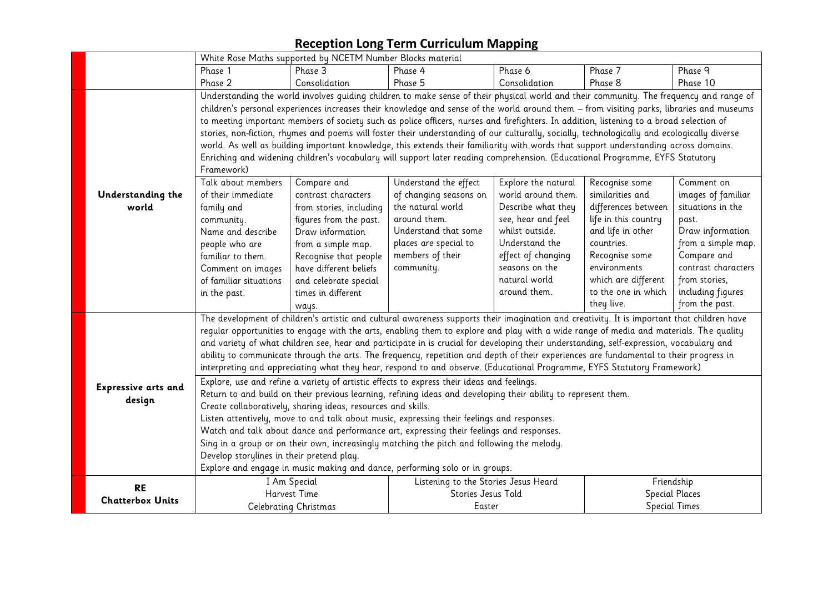|                                                                                           | White Rose Maths supported by NCETM Number Blocks material                                                                               |                                                                                                                                        |                                                                                                                                              |                     |                      |                       |  |  |
|-------------------------------------------------------------------------------------------|------------------------------------------------------------------------------------------------------------------------------------------|----------------------------------------------------------------------------------------------------------------------------------------|----------------------------------------------------------------------------------------------------------------------------------------------|---------------------|----------------------|-----------------------|--|--|
|                                                                                           | Phase 1<br>Phase 3<br>Phase 4<br>Phase 6<br>Phase 7                                                                                      |                                                                                                                                        |                                                                                                                                              |                     |                      | Phase 9               |  |  |
|                                                                                           | Phase 2<br>Consolidation<br>Phase 5<br>Phase 8<br>Consolidation                                                                          |                                                                                                                                        |                                                                                                                                              |                     |                      | Phase 10              |  |  |
|                                                                                           | Understanding the world involves guiding children to make sense of their physical world and their community. The frequency and range of  |                                                                                                                                        |                                                                                                                                              |                     |                      |                       |  |  |
|                                                                                           |                                                                                                                                          |                                                                                                                                        | children's personal experiences increases their knowledge and sense of the world around them - from visiting parks, libraries and museums    |                     |                      |                       |  |  |
|                                                                                           |                                                                                                                                          |                                                                                                                                        | to meeting important members of society such as police officers, nurses and firefighters. In addition, listening to a broad selection of     |                     |                      |                       |  |  |
|                                                                                           |                                                                                                                                          |                                                                                                                                        | stories, non-fiction, rhymes and poems will foster their understanding of our culturally, socially, technologically and ecologically diverse |                     |                      |                       |  |  |
|                                                                                           |                                                                                                                                          |                                                                                                                                        | world. As well as building important knowledge, this extends their familiarity with words that support understanding across domains.         |                     |                      |                       |  |  |
|                                                                                           |                                                                                                                                          |                                                                                                                                        | Enriching and widening children's vocabulary will support later reading comprehension. (Educational Programme, EYFS Statutory                |                     |                      |                       |  |  |
|                                                                                           | Framework)                                                                                                                               |                                                                                                                                        |                                                                                                                                              |                     |                      |                       |  |  |
|                                                                                           | Talk about members                                                                                                                       | Compare and                                                                                                                            | Understand the effect                                                                                                                        | Explore the natural | Recognise some       | Comment on            |  |  |
| Understanding the                                                                         | of their immediate                                                                                                                       | contrast characters                                                                                                                    | of changing seasons on                                                                                                                       | world around them.  | similarities and     | images of familiar    |  |  |
| world                                                                                     | family and                                                                                                                               | from stories, including                                                                                                                | the natural world                                                                                                                            | Describe what they  | differences between  | situations in the     |  |  |
|                                                                                           | community.                                                                                                                               | figures from the past.                                                                                                                 | around them.                                                                                                                                 | see, hear and feel  | life in this country | past.                 |  |  |
|                                                                                           | Name and describe                                                                                                                        | Draw information                                                                                                                       | Understand that some                                                                                                                         | whilst outside.     | and life in other    | Draw information      |  |  |
|                                                                                           | people who are                                                                                                                           | from a simple map.                                                                                                                     | places are special to                                                                                                                        | Understand the      | countries.           | from a simple map.    |  |  |
|                                                                                           | familiar to them.                                                                                                                        | Recognise that people                                                                                                                  | members of their                                                                                                                             | effect of changing  | Recognise some       | Compare and           |  |  |
|                                                                                           | Comment on images                                                                                                                        | have different beliefs                                                                                                                 | community.                                                                                                                                   | seasons on the      | environments         | contrast characters   |  |  |
|                                                                                           | of familiar situations                                                                                                                   | and celebrate special                                                                                                                  |                                                                                                                                              | natural world       | which are different  | from stories,         |  |  |
|                                                                                           | in the past.                                                                                                                             | times in different                                                                                                                     |                                                                                                                                              | around them.        | to the one in which  | including figures     |  |  |
|                                                                                           |                                                                                                                                          | ways.                                                                                                                                  |                                                                                                                                              |                     | they live.           | from the past.        |  |  |
|                                                                                           |                                                                                                                                          |                                                                                                                                        | The development of children's artistic and cultural awareness supports their imagination and creativity. It is important that children have  |                     |                      |                       |  |  |
|                                                                                           | regular opportunities to engage with the arts, enabling them to explore and play with a wide range of media and materials. The quality   |                                                                                                                                        |                                                                                                                                              |                     |                      |                       |  |  |
|                                                                                           | and variety of what children see, hear and participate in is crucial for developing their understanding, self-expression, vocabulary and |                                                                                                                                        |                                                                                                                                              |                     |                      |                       |  |  |
|                                                                                           |                                                                                                                                          | ability to communicate through the arts. The frequency, repetition and depth of their experiences are fundamental to their progress in |                                                                                                                                              |                     |                      |                       |  |  |
|                                                                                           |                                                                                                                                          | interpreting and appreciating what they hear, respond to and observe. (Educational Programme, EYFS Statutory Framework)                |                                                                                                                                              |                     |                      |                       |  |  |
| Expressive arts and                                                                       | Explore, use and refine a variety of artistic effects to express their ideas and feelings.                                               |                                                                                                                                        |                                                                                                                                              |                     |                      |                       |  |  |
| design                                                                                    | Return to and build on their previous learning, refining ideas and developing their ability to represent them.                           |                                                                                                                                        |                                                                                                                                              |                     |                      |                       |  |  |
|                                                                                           | Create collaboratively, sharing ideas, resources and skills.                                                                             |                                                                                                                                        |                                                                                                                                              |                     |                      |                       |  |  |
|                                                                                           | Listen attentively, move to and talk about music, expressing their feelings and responses.                                               |                                                                                                                                        |                                                                                                                                              |                     |                      |                       |  |  |
|                                                                                           | Watch and talk about dance and performance art, expressing their feelings and responses.                                                 |                                                                                                                                        |                                                                                                                                              |                     |                      |                       |  |  |
|                                                                                           | Sing in a group or on their own, increasingly matching the pitch and following the melody.                                               |                                                                                                                                        |                                                                                                                                              |                     |                      |                       |  |  |
|                                                                                           | Develop storylines in their pretend play.                                                                                                |                                                                                                                                        |                                                                                                                                              |                     |                      |                       |  |  |
|                                                                                           | Explore and engage in music making and dance, performing solo or in groups.                                                              |                                                                                                                                        |                                                                                                                                              |                     |                      |                       |  |  |
| <b>RE</b>                                                                                 |                                                                                                                                          | I Am Special                                                                                                                           | Listening to the Stories Jesus Heard                                                                                                         |                     |                      | Friendship            |  |  |
|                                                                                           |                                                                                                                                          | Harvest Time                                                                                                                           | Stories Jesus Told                                                                                                                           |                     |                      | <b>Special Places</b> |  |  |
| <b>Chatterbox Units</b><br><b>Special Times</b><br>Easter<br><b>Celebrating Christmas</b> |                                                                                                                                          |                                                                                                                                        |                                                                                                                                              |                     |                      |                       |  |  |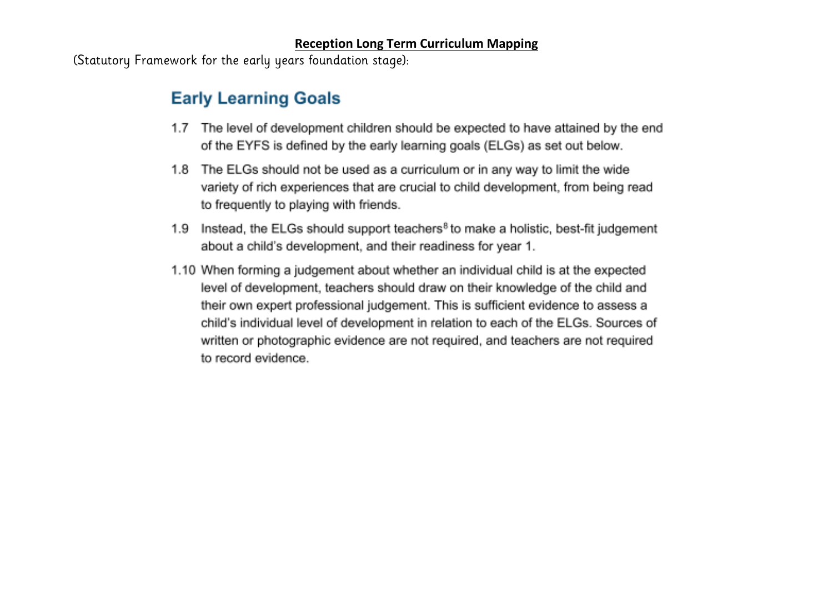(Statutory Framework for the early years foundation stage):

# **Early Learning Goals**

- 1.7 The level of development children should be expected to have attained by the end of the EYFS is defined by the early learning goals (ELGs) as set out below.
- 1.8 The ELGs should not be used as a curriculum or in any way to limit the wide variety of rich experiences that are crucial to child development, from being read to frequently to playing with friends.
- 1.9 Instead, the ELGs should support teachers<sup>8</sup> to make a holistic, best-fit judgement about a child's development, and their readiness for year 1.
- 1.10 When forming a judgement about whether an individual child is at the expected level of development, teachers should draw on their knowledge of the child and their own expert professional judgement. This is sufficient evidence to assess a child's individual level of development in relation to each of the ELGs. Sources of written or photographic evidence are not required, and teachers are not required to record evidence.